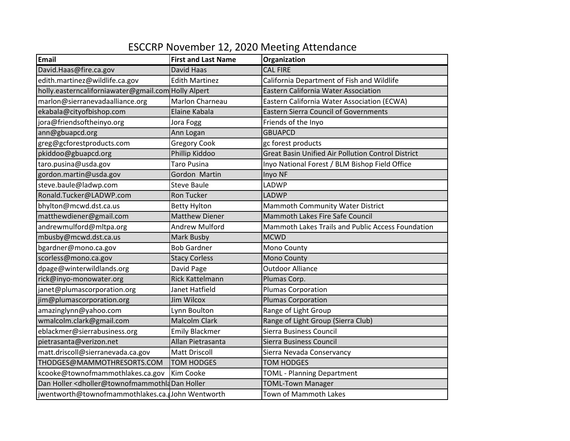## ESCCRP November 12, 2020 Meeting Attendance

| <b>Email</b>                                        | <b>First and Last Name</b> | Organization                                              |
|-----------------------------------------------------|----------------------------|-----------------------------------------------------------|
| David.Haas@fire.ca.gov                              | David Haas                 | <b>CAL FIRE</b>                                           |
| edith.martinez@wildlife.ca.gov                      | <b>Edith Martinez</b>      | California Department of Fish and Wildlife                |
| holly.easterncaliforniawater@gmail.com Holly Alpert |                            | Eastern California Water Association                      |
| marlon@sierranevadaalliance.org                     | Marlon Charneau            | Eastern California Water Association (ECWA)               |
| ekabala@cityofbishop.com                            | Elaine Kabala              | <b>Eastern Sierra Council of Governments</b>              |
| jora@friendsoftheinyo.org                           | Jora Fogg                  | Friends of the Inyo                                       |
| ann@gbuapcd.org                                     | Ann Logan                  | <b>GBUAPCD</b>                                            |
| greg@gcforestproducts.com                           | <b>Gregory Cook</b>        | gc forest products                                        |
| pkiddoo@gbuapcd.org                                 | Phillip Kiddoo             | <b>Great Basin Unified Air Pollution Control District</b> |
| taro.pusina@usda.gov                                | <b>Taro Pusina</b>         | Inyo National Forest / BLM Bishop Field Office            |
| gordon.martin@usda.gov                              | Gordon Martin              | Inyo NF                                                   |
| steve.baule@ladwp.com                               | <b>Steve Baule</b>         | LADWP                                                     |
| Ronald.Tucker@LADWP.com                             | <b>Ron Tucker</b>          | <b>LADWP</b>                                              |
| bhylton@mcwd.dst.ca.us                              | <b>Betty Hylton</b>        | <b>Mammoth Community Water District</b>                   |
| matthewdiener@gmail.com                             | <b>Matthew Diener</b>      | Mammoth Lakes Fire Safe Council                           |
| andrewmulford@mltpa.org                             | <b>Andrew Mulford</b>      | Mammoth Lakes Trails and Public Access Foundation         |
| mbusby@mcwd.dst.ca.us                               | Mark Busby                 | <b>MCWD</b>                                               |
| bgardner@mono.ca.gov                                | <b>Bob Gardner</b>         | Mono County                                               |
| scorless@mono.ca.gov                                | <b>Stacy Corless</b>       | Mono County                                               |
| dpage@winterwildlands.org                           | David Page                 | <b>Outdoor Alliance</b>                                   |
| rick@inyo-monowater.org                             | <b>Rick Kattelmann</b>     | Plumas Corp.                                              |
| janet@plumascorporation.org                         | Janet Hatfield             | <b>Plumas Corporation</b>                                 |
| jim@plumascorporation.org                           | <b>Jim Wilcox</b>          | <b>Plumas Corporation</b>                                 |
| amazinglynn@yahoo.com                               | Lynn Boulton               | Range of Light Group                                      |
| wmalcolm.clark@gmail.com                            | <b>Malcolm Clark</b>       | Range of Light Group (Sierra Club)                        |
| eblackmer@sierrabusiness.org                        | <b>Emily Blackmer</b>      | Sierra Business Council                                   |
| pietrasanta@verizon.net                             | Allan Pietrasanta          | Sierra Business Council                                   |
| matt.driscoll@sierranevada.ca.gov                   | <b>Matt Driscoll</b>       | Sierra Nevada Conservancy                                 |
| THODGES@MAMMOTHRESORTS.COM                          | <b>TOM HODGES</b>          | <b>TOM HODGES</b>                                         |
| kcooke@townofmammothlakes.ca.gov                    | Kim Cooke                  | <b>TOML - Planning Department</b>                         |
| Dan Holler < dholler@townofmammothIaDan Holler      |                            | <b>TOML-Town Manager</b>                                  |
| jwentworth@townofmammothlakes.ca. John Wentworth    |                            | Town of Mammoth Lakes                                     |